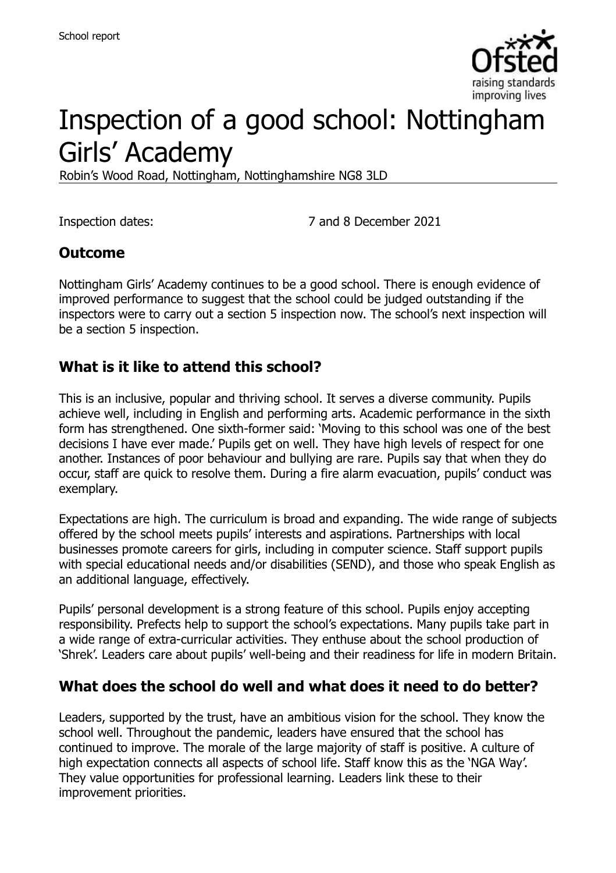

# Inspection of a good school: Nottingham Girls' Academy

Robin's Wood Road, Nottingham, Nottinghamshire NG8 3LD

Inspection dates: 7 and 8 December 2021

# **Outcome**

Nottingham Girls' Academy continues to be a good school. There is enough evidence of improved performance to suggest that the school could be judged outstanding if the inspectors were to carry out a section 5 inspection now. The school's next inspection will be a section 5 inspection.

## **What is it like to attend this school?**

This is an inclusive, popular and thriving school. It serves a diverse community. Pupils achieve well, including in English and performing arts. Academic performance in the sixth form has strengthened. One sixth-former said: 'Moving to this school was one of the best decisions I have ever made.' Pupils get on well. They have high levels of respect for one another. Instances of poor behaviour and bullying are rare. Pupils say that when they do occur, staff are quick to resolve them. During a fire alarm evacuation, pupils' conduct was exemplary.

Expectations are high. The curriculum is broad and expanding. The wide range of subjects offered by the school meets pupils' interests and aspirations. Partnerships with local businesses promote careers for girls, including in computer science. Staff support pupils with special educational needs and/or disabilities (SEND), and those who speak English as an additional language, effectively.

Pupils' personal development is a strong feature of this school. Pupils enjoy accepting responsibility. Prefects help to support the school's expectations. Many pupils take part in a wide range of extra-curricular activities. They enthuse about the school production of 'Shrek'. Leaders care about pupils' well-being and their readiness for life in modern Britain.

## **What does the school do well and what does it need to do better?**

Leaders, supported by the trust, have an ambitious vision for the school. They know the school well. Throughout the pandemic, leaders have ensured that the school has continued to improve. The morale of the large majority of staff is positive. A culture of high expectation connects all aspects of school life. Staff know this as the 'NGA Way'. They value opportunities for professional learning. Leaders link these to their improvement priorities.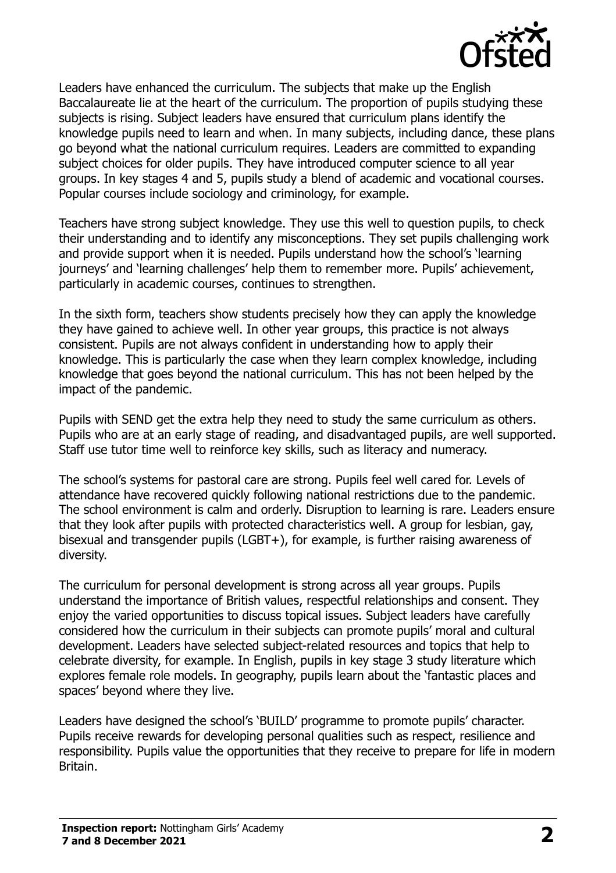

Leaders have enhanced the curriculum. The subjects that make up the English Baccalaureate lie at the heart of the curriculum. The proportion of pupils studying these subjects is rising. Subject leaders have ensured that curriculum plans identify the knowledge pupils need to learn and when. In many subjects, including dance, these plans go beyond what the national curriculum requires. Leaders are committed to expanding subject choices for older pupils. They have introduced computer science to all year groups. In key stages 4 and 5, pupils study a blend of academic and vocational courses. Popular courses include sociology and criminology, for example.

Teachers have strong subject knowledge. They use this well to question pupils, to check their understanding and to identify any misconceptions. They set pupils challenging work and provide support when it is needed. Pupils understand how the school's 'learning journeys' and 'learning challenges' help them to remember more. Pupils' achievement, particularly in academic courses, continues to strengthen.

In the sixth form, teachers show students precisely how they can apply the knowledge they have gained to achieve well. In other year groups, this practice is not always consistent. Pupils are not always confident in understanding how to apply their knowledge. This is particularly the case when they learn complex knowledge, including knowledge that goes beyond the national curriculum. This has not been helped by the impact of the pandemic.

Pupils with SEND get the extra help they need to study the same curriculum as others. Pupils who are at an early stage of reading, and disadvantaged pupils, are well supported. Staff use tutor time well to reinforce key skills, such as literacy and numeracy.

The school's systems for pastoral care are strong. Pupils feel well cared for. Levels of attendance have recovered quickly following national restrictions due to the pandemic. The school environment is calm and orderly. Disruption to learning is rare. Leaders ensure that they look after pupils with protected characteristics well. A group for lesbian, gay, bisexual and transgender pupils (LGBT+), for example, is further raising awareness of diversity.

The curriculum for personal development is strong across all year groups. Pupils understand the importance of British values, respectful relationships and consent. They enjoy the varied opportunities to discuss topical issues. Subject leaders have carefully considered how the curriculum in their subjects can promote pupils' moral and cultural development. Leaders have selected subject-related resources and topics that help to celebrate diversity, for example. In English, pupils in key stage 3 study literature which explores female role models. In geography, pupils learn about the 'fantastic places and spaces' beyond where they live.

Leaders have designed the school's 'BUILD' programme to promote pupils' character. Pupils receive rewards for developing personal qualities such as respect, resilience and responsibility. Pupils value the opportunities that they receive to prepare for life in modern Britain.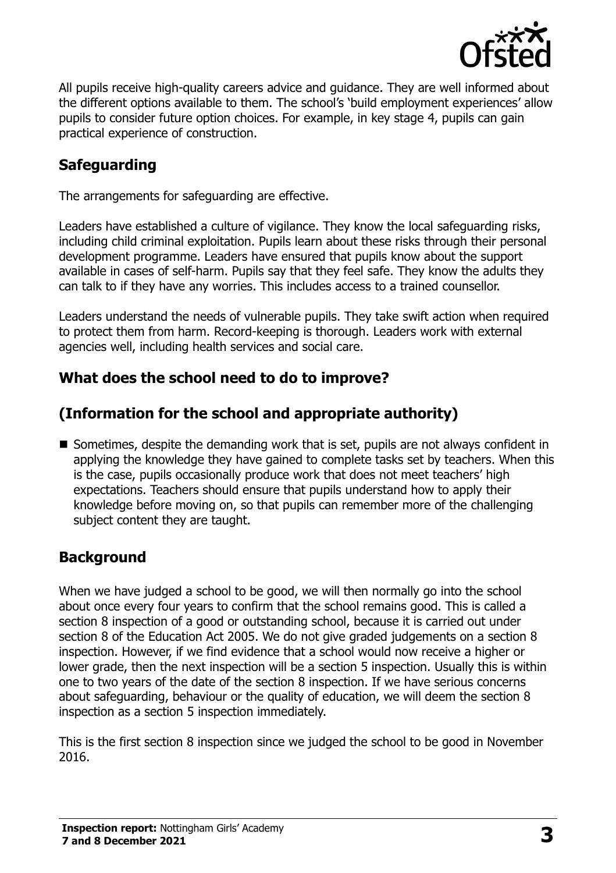

All pupils receive high-quality careers advice and guidance. They are well informed about the different options available to them. The school's 'build employment experiences' allow pupils to consider future option choices. For example, in key stage 4, pupils can gain practical experience of construction.

# **Safeguarding**

The arrangements for safeguarding are effective.

Leaders have established a culture of vigilance. They know the local safeguarding risks, including child criminal exploitation. Pupils learn about these risks through their personal development programme. Leaders have ensured that pupils know about the support available in cases of self-harm. Pupils say that they feel safe. They know the adults they can talk to if they have any worries. This includes access to a trained counsellor.

Leaders understand the needs of vulnerable pupils. They take swift action when required to protect them from harm. Record-keeping is thorough. Leaders work with external agencies well, including health services and social care.

# **What does the school need to do to improve?**

# **(Information for the school and appropriate authority)**

Sometimes, despite the demanding work that is set, pupils are not always confident in applying the knowledge they have gained to complete tasks set by teachers. When this is the case, pupils occasionally produce work that does not meet teachers' high expectations. Teachers should ensure that pupils understand how to apply their knowledge before moving on, so that pupils can remember more of the challenging subject content they are taught.

# **Background**

When we have judged a school to be good, we will then normally go into the school about once every four years to confirm that the school remains good. This is called a section 8 inspection of a good or outstanding school, because it is carried out under section 8 of the Education Act 2005. We do not give graded judgements on a section 8 inspection. However, if we find evidence that a school would now receive a higher or lower grade, then the next inspection will be a section 5 inspection. Usually this is within one to two years of the date of the section 8 inspection. If we have serious concerns about safeguarding, behaviour or the quality of education, we will deem the section 8 inspection as a section 5 inspection immediately.

This is the first section 8 inspection since we judged the school to be good in November 2016.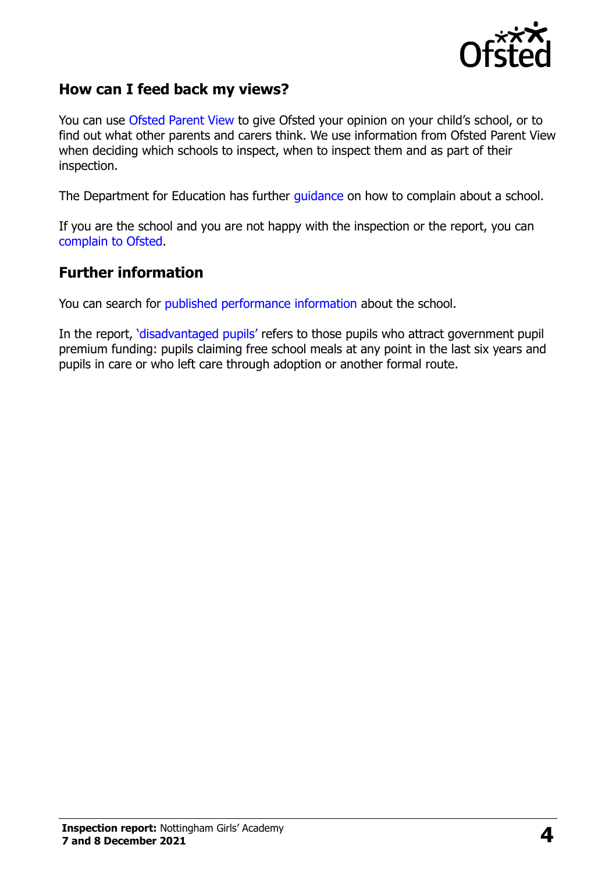

## **How can I feed back my views?**

You can use [Ofsted Parent View](https://parentview.ofsted.gov.uk/) to give Ofsted your opinion on your child's school, or to find out what other parents and carers think. We use information from Ofsted Parent View when deciding which schools to inspect, when to inspect them and as part of their inspection.

The Department for Education has further [guidance](http://www.gov.uk/complain-about-school) on how to complain about a school.

If you are the school and you are not happy with the inspection or the report, you can [complain to Ofsted.](https://www.gov.uk/complain-ofsted-report)

#### **Further information**

You can search for [published performance information](http://www.compare-school-performance.service.gov.uk/) about the school.

In the report, '[disadvantaged pupils](http://www.gov.uk/guidance/pupil-premium-information-for-schools-and-alternative-provision-settings)' refers to those pupils who attract government pupil premium funding: pupils claiming free school meals at any point in the last six years and pupils in care or who left care through adoption or another formal route.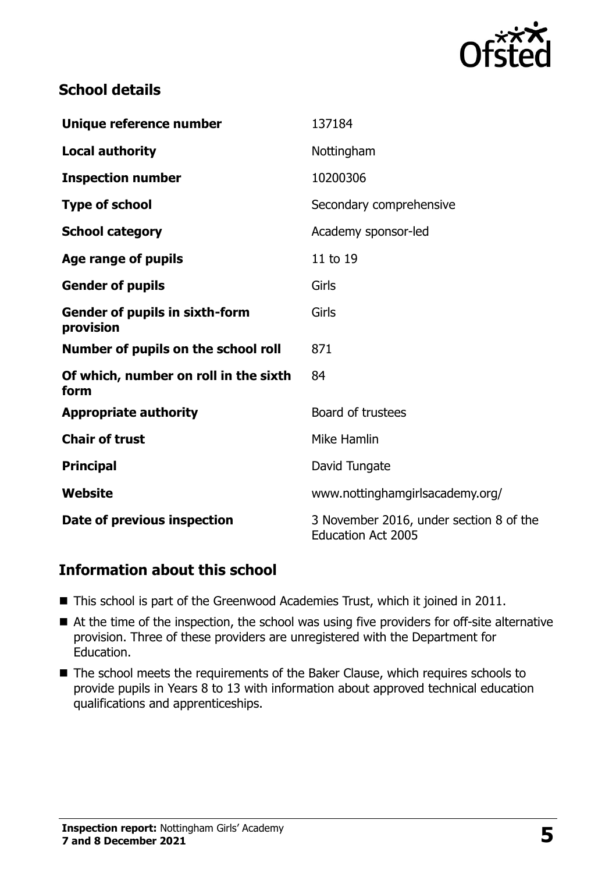

# **School details**

| Unique reference number                            | 137184                                                               |
|----------------------------------------------------|----------------------------------------------------------------------|
| <b>Local authority</b>                             | Nottingham                                                           |
| <b>Inspection number</b>                           | 10200306                                                             |
| <b>Type of school</b>                              | Secondary comprehensive                                              |
| <b>School category</b>                             | Academy sponsor-led                                                  |
| Age range of pupils                                | 11 to 19                                                             |
| <b>Gender of pupils</b>                            | Girls                                                                |
| <b>Gender of pupils in sixth-form</b><br>provision | Girls                                                                |
| Number of pupils on the school roll                | 871                                                                  |
| Of which, number on roll in the sixth<br>form      | 84                                                                   |
| <b>Appropriate authority</b>                       | Board of trustees                                                    |
| <b>Chair of trust</b>                              | Mike Hamlin                                                          |
| <b>Principal</b>                                   | David Tungate                                                        |
| Website                                            | www.nottinghamgirlsacademy.org/                                      |
| Date of previous inspection                        | 3 November 2016, under section 8 of the<br><b>Education Act 2005</b> |

## **Information about this school**

- This school is part of the Greenwood Academies Trust, which it joined in 2011.
- At the time of the inspection, the school was using five providers for off-site alternative provision. Three of these providers are unregistered with the Department for Education.
- The school meets the requirements of the Baker Clause, which requires schools to provide pupils in Years 8 to 13 with information about approved technical education qualifications and apprenticeships.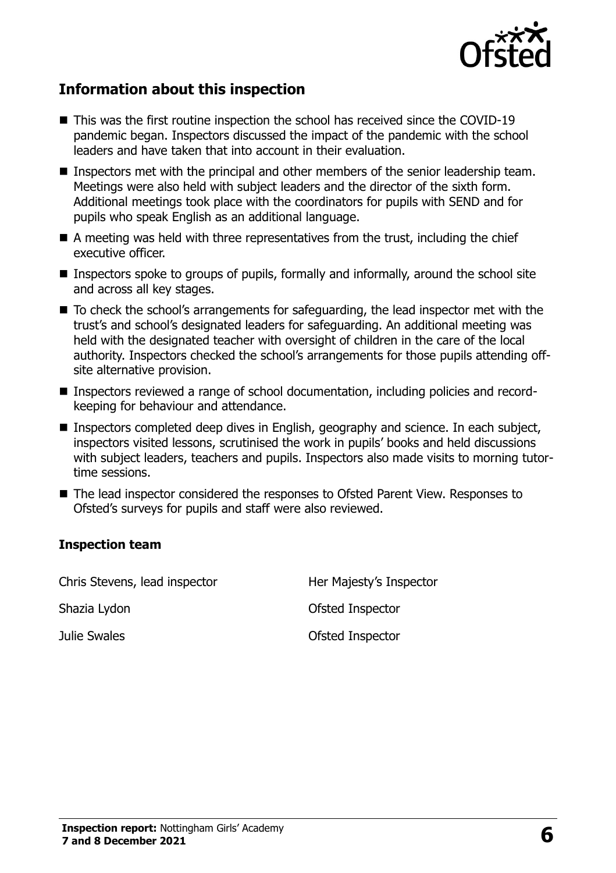

# **Information about this inspection**

- This was the first routine inspection the school has received since the COVID-19 pandemic began. Inspectors discussed the impact of the pandemic with the school leaders and have taken that into account in their evaluation.
- Inspectors met with the principal and other members of the senior leadership team. Meetings were also held with subject leaders and the director of the sixth form. Additional meetings took place with the coordinators for pupils with SEND and for pupils who speak English as an additional language.
- $\blacksquare$  A meeting was held with three representatives from the trust, including the chief executive officer.
- Inspectors spoke to groups of pupils, formally and informally, around the school site and across all key stages.
- To check the school's arrangements for safeguarding, the lead inspector met with the trust's and school's designated leaders for safeguarding. An additional meeting was held with the designated teacher with oversight of children in the care of the local authority. Inspectors checked the school's arrangements for those pupils attending offsite alternative provision.
- Inspectors reviewed a range of school documentation, including policies and recordkeeping for behaviour and attendance.
- Inspectors completed deep dives in English, geography and science. In each subject, inspectors visited lessons, scrutinised the work in pupils' books and held discussions with subject leaders, teachers and pupils. Inspectors also made visits to morning tutortime sessions.
- The lead inspector considered the responses to Ofsted Parent View. Responses to Ofsted's surveys for pupils and staff were also reviewed.

#### **Inspection team**

| Chris Stevens, lead inspector | Her Majesty's Inspector |
|-------------------------------|-------------------------|
| Shazia Lydon                  | Ofsted Inspector        |
| Julie Swales                  | Ofsted Inspector        |